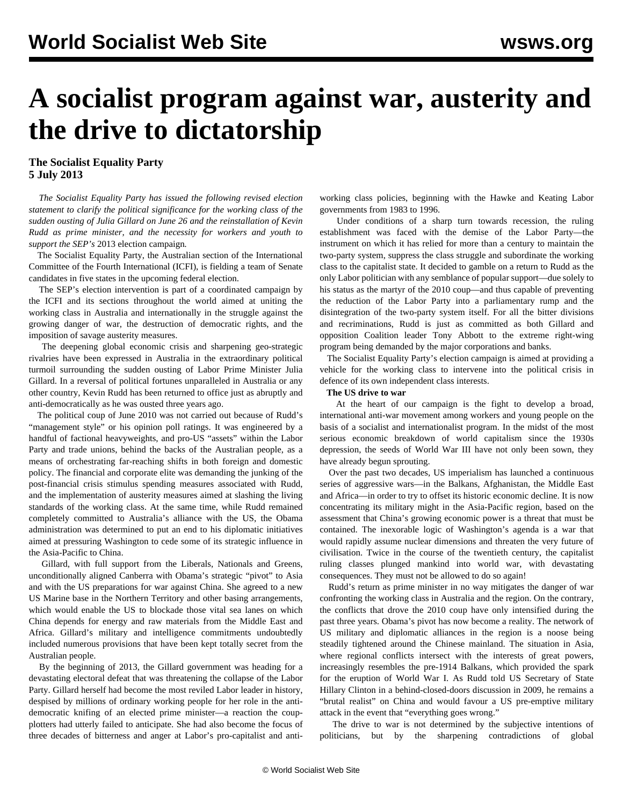# **A socialist program against war, austerity and the drive to dictatorship**

### **The Socialist Equality Party 5 July 2013**

 *The Socialist Equality Party has issued the following revised election statement to clarify the political significance for the working class of the sudden ousting of Julia Gillard on June 26 and the reinstallation of Kevin Rudd as prime minister, and the necessity for workers and youth to support the SEP's* [2013 election campaign](http://www.sep.org.au/website/)*.*

 The Socialist Equality Party, the Australian section of the International Committee of the Fourth International (ICFI), is fielding a team of Senate candidates in five states in the upcoming federal election.

 The SEP's election intervention is part of a coordinated campaign by the ICFI and its sections throughout the world aimed at uniting the working class in Australia and internationally in the struggle against the growing danger of war, the destruction of democratic rights, and the imposition of savage austerity measures.

 The deepening global economic crisis and sharpening geo-strategic rivalries have been expressed in Australia in the extraordinary political turmoil surrounding the sudden ousting of Labor Prime Minister Julia Gillard. In a reversal of political fortunes unparalleled in Australia or any other country, Kevin Rudd has been returned to office just as abruptly and anti-democratically as he was ousted three years ago.

 The political coup of June 2010 was not carried out because of Rudd's "management style" or his opinion poll ratings. It was engineered by a handful of factional heavyweights, and pro-US "assets" within the Labor Party and trade unions, behind the backs of the Australian people, as a means of orchestrating far-reaching shifts in both foreign and domestic policy. The financial and corporate elite was demanding the junking of the post-financial crisis stimulus spending measures associated with Rudd, and the implementation of austerity measures aimed at slashing the living standards of the working class. At the same time, while Rudd remained completely committed to Australia's alliance with the US, the Obama administration was determined to put an end to his diplomatic initiatives aimed at pressuring Washington to cede some of its strategic influence in the Asia-Pacific to China.

 Gillard, with full support from the Liberals, Nationals and Greens, unconditionally aligned Canberra with Obama's strategic "pivot" to Asia and with the US preparations for war against China. She agreed to a new US Marine base in the Northern Territory and other basing arrangements, which would enable the US to blockade those vital sea lanes on which China depends for energy and raw materials from the Middle East and Africa. Gillard's military and intelligence commitments undoubtedly included numerous provisions that have been kept totally secret from the Australian people.

 By the beginning of 2013, the Gillard government was heading for a devastating electoral defeat that was threatening the collapse of the Labor Party. Gillard herself had become the most reviled Labor leader in history, despised by millions of ordinary working people for her role in the antidemocratic knifing of an elected prime minister—a reaction the coupplotters had utterly failed to anticipate. She had also become the focus of three decades of bitterness and anger at Labor's pro-capitalist and antiworking class policies, beginning with the Hawke and Keating Labor governments from 1983 to 1996.

 Under conditions of a sharp turn towards recession, the ruling establishment was faced with the demise of the Labor Party—the instrument on which it has relied for more than a century to maintain the two-party system, suppress the class struggle and subordinate the working class to the capitalist state. It decided to gamble on a return to Rudd as the only Labor politician with any semblance of popular support—due solely to his status as the martyr of the 2010 coup—and thus capable of preventing the reduction of the Labor Party into a parliamentary rump and the disintegration of the two-party system itself. For all the bitter divisions and recriminations, Rudd is just as committed as both Gillard and opposition Coalition leader Tony Abbott to the extreme right-wing program being demanded by the major corporations and banks.

 The Socialist Equality Party's election campaign is aimed at providing a vehicle for the working class to intervene into the political crisis in defence of its own independent class interests.

#### **The US drive to war**

 At the heart of our campaign is the fight to develop a broad, international anti-war movement among workers and young people on the basis of a socialist and internationalist program. In the midst of the most serious economic breakdown of world capitalism since the 1930s depression, the seeds of World War III have not only been sown, they have already begun sprouting.

 Over the past two decades, US imperialism has launched a continuous series of aggressive wars—in the Balkans, Afghanistan, the Middle East and Africa—in order to try to offset its historic economic decline. It is now concentrating its military might in the Asia-Pacific region, based on the assessment that China's growing economic power is a threat that must be contained. The inexorable logic of Washington's agenda is a war that would rapidly assume nuclear dimensions and threaten the very future of civilisation. Twice in the course of the twentieth century, the capitalist ruling classes plunged mankind into world war, with devastating consequences. They must not be allowed to do so again!

 Rudd's return as prime minister in no way mitigates the danger of war confronting the working class in Australia and the region. On the contrary, the conflicts that drove the 2010 coup have only intensified during the past three years. Obama's pivot has now become a reality. The network of US military and diplomatic alliances in the region is a noose being steadily tightened around the Chinese mainland. The situation in Asia, where regional conflicts intersect with the interests of great powers, increasingly resembles the pre-1914 Balkans, which provided the spark for the eruption of World War I. As Rudd told US Secretary of State Hillary Clinton in a behind-closed-doors discussion in 2009, he remains a "brutal realist" on China and would favour a US pre-emptive military attack in the event that "everything goes wrong."

 The drive to war is not determined by the subjective intentions of politicians, but by the sharpening contradictions of global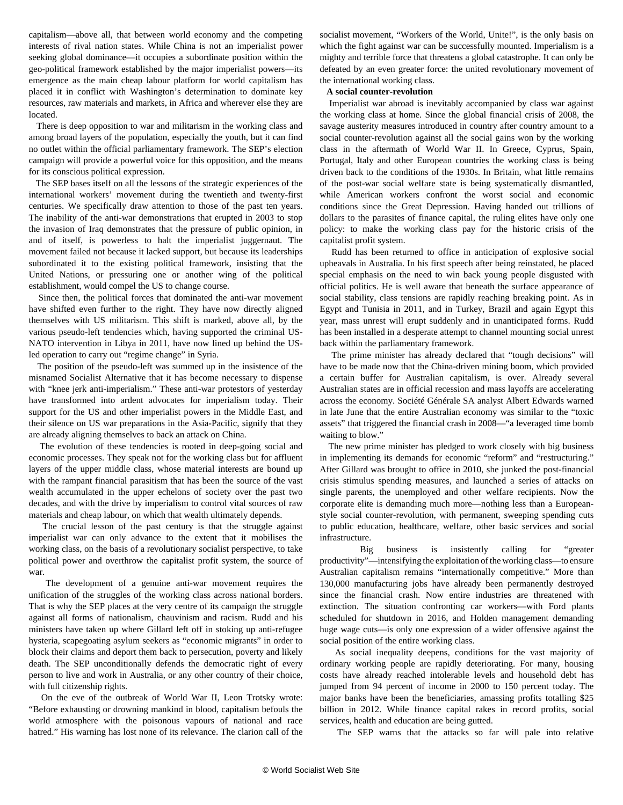capitalism—above all, that between world economy and the competing interests of rival nation states. While China is not an imperialist power seeking global dominance—it occupies a subordinate position within the geo-political framework established by the major imperialist powers—its emergence as the main cheap labour platform for world capitalism has placed it in conflict with Washington's determination to dominate key resources, raw materials and markets, in Africa and wherever else they are located.

 There is deep opposition to war and militarism in the working class and among broad layers of the population, especially the youth, but it can find no outlet within the official parliamentary framework. The SEP's election campaign will provide a powerful voice for this opposition, and the means for its conscious political expression.

 The SEP bases itself on all the lessons of the strategic experiences of the international workers' movement during the twentieth and twenty-first centuries. We specifically draw attention to those of the past ten years. The inability of the anti-war demonstrations that erupted in 2003 to stop the invasion of Iraq demonstrates that the pressure of public opinion, in and of itself, is powerless to halt the imperialist juggernaut. The movement failed not because it lacked support, but because its leaderships subordinated it to the existing political framework, insisting that the United Nations, or pressuring one or another wing of the political establishment, would compel the US to change course.

 Since then, the political forces that dominated the anti-war movement have shifted even further to the right. They have now directly aligned themselves with US militarism. This shift is marked, above all, by the various pseudo-left tendencies which, having supported the criminal US-NATO intervention in Libya in 2011, have now lined up behind the USled operation to carry out "regime change" in Syria.

 The position of the pseudo-left was summed up in the insistence of the misnamed Socialist Alternative that it has become necessary to dispense with "knee jerk anti-imperialism." These anti-war protestors of yesterday have transformed into ardent advocates for imperialism today. Their support for the US and other imperialist powers in the Middle East, and their silence on US war preparations in the Asia-Pacific, signify that they are already aligning themselves to back an attack on China.

 The evolution of these tendencies is rooted in deep-going social and economic processes. They speak not for the working class but for affluent layers of the upper middle class, whose material interests are bound up with the rampant financial parasitism that has been the source of the vast wealth accumulated in the upper echelons of society over the past two decades, and with the drive by imperialism to control vital sources of raw materials and cheap labour, on which that wealth ultimately depends.

 The crucial lesson of the past century is that the struggle against imperialist war can only advance to the extent that it mobilises the working class, on the basis of a revolutionary socialist perspective, to take political power and overthrow the capitalist profit system, the source of war.

 The development of a genuine anti-war movement requires the unification of the struggles of the working class across national borders. That is why the SEP places at the very centre of its campaign the struggle against all forms of nationalism, chauvinism and racism. Rudd and his ministers have taken up where Gillard left off in stoking up anti-refugee hysteria, scapegoating asylum seekers as "economic migrants" in order to block their claims and deport them back to persecution, poverty and likely death. The SEP unconditionally defends the democratic right of every person to live and work in Australia, or any other country of their choice, with full citizenship rights.

 On the eve of the outbreak of World War II, Leon Trotsky wrote: "Before exhausting or drowning mankind in blood, capitalism befouls the world atmosphere with the poisonous vapours of national and race hatred." His warning has lost none of its relevance. The clarion call of the socialist movement, "Workers of the World, Unite!", is the only basis on which the fight against war can be successfully mounted. Imperialism is a mighty and terrible force that threatens a global catastrophe. It can only be defeated by an even greater force: the united revolutionary movement of the international working class.

#### **A social counter-revolution**

 Imperialist war abroad is inevitably accompanied by class war against the working class at home. Since the global financial crisis of 2008, the savage austerity measures introduced in country after country amount to a social counter-revolution against all the social gains won by the working class in the aftermath of World War II. In Greece, Cyprus, Spain, Portugal, Italy and other European countries the working class is being driven back to the conditions of the 1930s. In Britain, what little remains of the post-war social welfare state is being systematically dismantled, while American workers confront the worst social and economic conditions since the Great Depression. Having handed out trillions of dollars to the parasites of finance capital, the ruling elites have only one policy: to make the working class pay for the historic crisis of the capitalist profit system.

 Rudd has been returned to office in anticipation of explosive social upheavals in Australia. In his first speech after being reinstated, he placed special emphasis on the need to win back young people disgusted with official politics. He is well aware that beneath the surface appearance of social stability, class tensions are rapidly reaching breaking point. As in Egypt and Tunisia in 2011, and in Turkey, Brazil and again Egypt this year, mass unrest will erupt suddenly and in unanticipated forms. Rudd has been installed in a desperate attempt to channel mounting social unrest back within the parliamentary framework.

 The prime minister has already declared that "tough decisions" will have to be made now that the China-driven mining boom, which provided a certain buffer for Australian capitalism, is over. Already several Australian states are in official recession and mass layoffs are accelerating across the economy. Société Générale SA analyst Albert Edwards warned in late June that the entire Australian economy was similar to the "toxic assets" that triggered the financial crash in 2008—"a leveraged time bomb waiting to blow."

 The new prime minister has pledged to work closely with big business in implementing its demands for economic "reform" and "restructuring." After Gillard was brought to office in 2010, she junked the post-financial crisis stimulus spending measures, and launched a series of attacks on single parents, the unemployed and other welfare recipients. Now the corporate elite is demanding much more—nothing less than a Europeanstyle social counter-revolution, with permanent, sweeping spending cuts to public education, healthcare, welfare, other basic services and social infrastructure.

 Big business is insistently calling for "greater productivity"—intensifying the exploitation of the working class—to ensure Australian capitalism remains "internationally competitive." More than 130,000 manufacturing jobs have already been permanently destroyed since the financial crash. Now entire industries are threatened with extinction. The situation confronting car workers—with Ford plants scheduled for shutdown in 2016, and Holden management demanding huge wage cuts—is only one expression of a wider offensive against the social position of the entire working class.

 As social inequality deepens, conditions for the vast majority of ordinary working people are rapidly deteriorating. For many, housing costs have already reached intolerable levels and household debt has jumped from 94 percent of income in 2000 to 150 percent today. The major banks have been the beneficiaries, amassing profits totalling \$25 billion in 2012. While finance capital rakes in record profits, social services, health and education are being gutted.

The SEP warns that the attacks so far will pale into relative